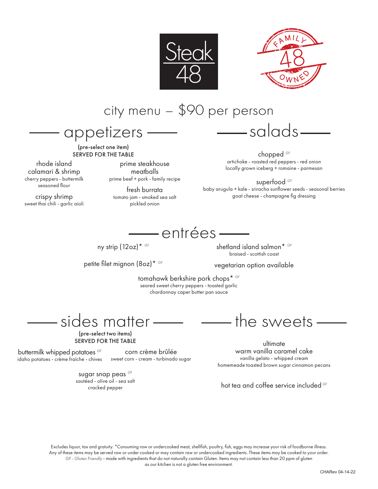



city menu – \$90 per person

appetizers

(pre-select one item) SERVED FOR THE TABLE

rhode island calamari & shrimp cherry peppers - buttermilk seasoned flour

crispy shrimp sweet thai chili - garlic aioli

prime steakhouse meatballs prime beef + pork - family recipe

fresh burrata tomato jam - smoked sea salt pickled onion

chopped *GF* artichoke - roasted red peppers - red onion locally grown iceberg + romaine - parmesan

— salads-

superfood *GF* baby arugula + kale - sriracha sunflower seeds - seasonal berries goat cheese - champagne fig dressing



ny strip (12oz)\* *GF*

petite filet mignon (8oz)\* *GF*

shetland island salmon\* *GF* braised - scottish coast

#### vegetarian option available

tomahawk berkshire pork chops\* *GF* seared sweet cherry peppers - toasted garlic chardonnay caper butter pan sauce

sides matter —

(pre-select two items) SERVED FOR THE TABLE

buttermilk whipped potatoes *GF* idaho potatoes - crème fraîche - chives

corn crème brûlée sweet corn - cream - turbinado sugar

sugar snap peas *GF* sautéed - olive oil - sea salt cracked pepper

— the sweets —

ultimate warm vanilla caramel cake vanilla gelato - whipped cream homemeade toasted brown sugar cinnamon pecans

hot tea and coffee service included *GF*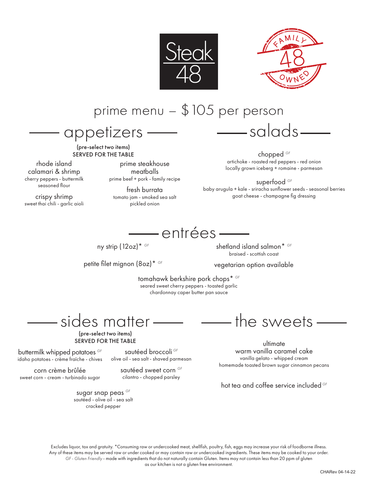



### prime menu – \$105 per person

appetizers

(pre-select two items) SERVED FOR THE TABLE

rhode island calamari & shrimp cherry peppers - buttermilk seasoned flour

crispy shrimp sweet thai chili - garlic aioli

prime steakhouse meatballs prime beef + pork - family recipe

fresh burrata tomato jam - smoked sea salt pickled onion

sautéed broccoli *GF* olive oil - sea salt - shaved parmesan sautéed sweet corn *GF* cilantro - chopped parsley

chopped *GF* artichoke - roasted red peppers - red onion locally grown iceberg + romaine - parmesan

salads

superfood *GF* baby arugula + kale - sriracha sunflower seeds - seasonal berries goat cheese - champagne fig dressing



ny strip (12oz)\* *GF*

petite filet mignon (8oz)\* *GF*

shetland island salmon\* *GF* braised - scottish coast

#### vegetarian option available

tomahawk berkshire pork chops\* *GF* seared sweet cherry peppers - toasted garlic chardonnay caper butter pan sauce

sides matter —

(pre-select two items) SERVED FOR THE TABLE

buttermilk whipped potatoes *GF* idaho potatoes - crème fraîche - chives

corn crème brûlée sweet corn - cream - turbinado sugar

> sugar snap peas *GF* sautéed - olive oil - sea salt cracked pepper

 $\longrightarrow$  the sweets  $\longrightarrow$ 

ultimate warm vanilla caramel cake vanilla gelato - whipped cream homemade toasted brown sugar cinnamon pecans

hot tea and coffee service included *GF*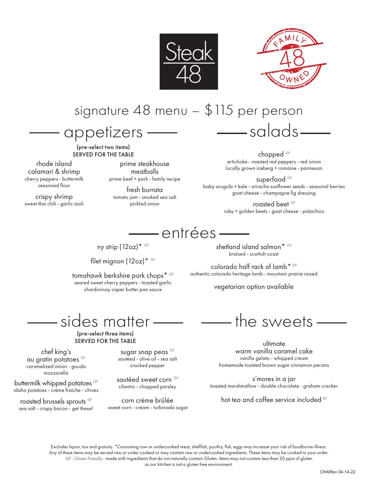



## signature 48 menu – \$115 per person

appetizers

(pre-select two items) SERVED FOR THE TABLE

rhode island calamari & shrimp cherry peppers - buttermilk seasoned flour

crispy shrimp sweet thai chili - garlic aioli

prime steakhouse meatballs prime beef + pork - family recipe

fresh burrata tomato jam - smoked sea salt pickled onion

chopped *GF*

— salads —

artichoke - roasted red peppers - red onion locally grown iceberg + romaine - parmesan

superfood *GF* baby arugula + kale - sriracha sunflower seeds - seasonal berries goat cheese - champagne fig dressing

> roasted beet *GF* ruby + golden beets - goat cheese - pistachios

## — entrées ——

ny strip (12oz)\* *GF*

filet mignon (12oz)\* *GF*

tomahawk berkshire pork chops\* *GF* seared sweet cherry peppers - toasted garlic chardonnay caper butter pan sauce

shetland island salmon\* *GF* braised - scottish coast

colorado half rack of lamb\* *GF* authentic colorado heritage lamb - mountain prairie raised

vegetarian option available

sides matter -

(pre-select three items) SERVED FOR THE TABLE

chef king's au gratin potatoes *GF* caramelized onion - gouda mozzarella

buttermilk whipped potatoes *GF* idaho potatoes - crème fraîche - chives

roasted brussels sprouts *GF* sea salt - crispy bacon - get these!

sugar snap peas *GF* sautéed - olive oil - sea salt cracked pepper

sautéed sweet corn *GF* cilantro - chopped parsley

corn crème brûlée sweet corn - cream - turbinado sugar

 $\longrightarrow$  the sweets  $\longrightarrow$ 

ultimate warm vanilla caramel cake vanilla gelato - whipped cream homemade toasted brown sugar cinnamon pecans

s'mores in a jar toasted marshmallow - double chocolate - graham cracker

hot tea and coffee service included *GF*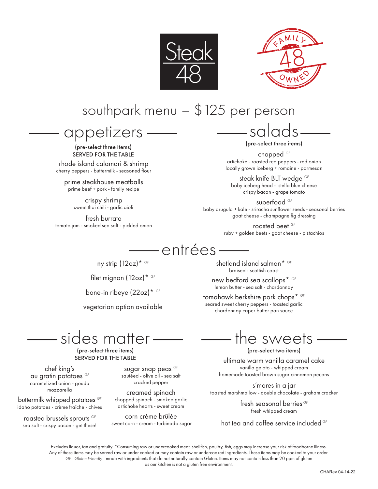



## southpark menu – \$125 per person

appetizers

(pre-select three items) SERVED FOR THE TABLE

rhode island calamari & shrimp cherry peppers - buttermilk - seasoned flour

prime steakhouse meatballs prime beef + pork - family recipe

> crispy shrimp sweet thai chili - garlic aioli

fresh burrata tomato jam - smoked sea salt - pickled onion

(pre-select three items)

salads

chopped *GF* artichoke - roasted red peppers - red onion locally grown iceberg + romaine - parmesan

steak knife BLT wedge *GF* baby iceberg head - stella blue cheese crispy bacon - grape tomato

superfood *GF* baby arugula + kale - sriracha sunflower seeds - seasonal berries goat cheese - champagne fig dressing

> roasted beet *GF* ruby + golden beets - goat cheese - pistachios

### -entrées-

ny strip (12oz)\* *GF*

filet mignon (12oz)\* *GF*

bone-in ribeye (22oz)\* *GF*

vegetarian option available

# sides matter-

(pre-select three items) SERVED FOR THE TABLE

chef king's au gratin potatoes *GF* caramelized onion - gouda mozzarella

buttermilk whipped potatoes *GF* idaho potatoes - crème fraîche - chives

roasted brussels sprouts *GF* sea salt - crispy bacon - get these!

sugar snap peas *GF* sautéed - olive oil - sea salt cracked pepper

creamed spinach chopped spinach - smoked garlic artichoke hearts - sweet cream

corn crème brûlée sweet corn - cream - turbinado sugar shetland island salmon\* *GF* braised - scottish coast

new bedford sea scallops\* *GF* lemon butter - sea salt - chardonnay

tomahawk berkshire pork chops\* *GF* seared sweet cherry peppers - toasted garlic chardonnay caper butter pan sauce

the sweets.

(pre-select two items)

ultimate warm vanilla caramel cake vanilla gelato - whipped cream homemade toasted brown sugar cinnamon pecans

s'mores in a jar toasted marshmallow - double chocolate - graham cracker

> fresh seasonal berries *GF* fresh whipped cream

hot tea and coffee service included *GF*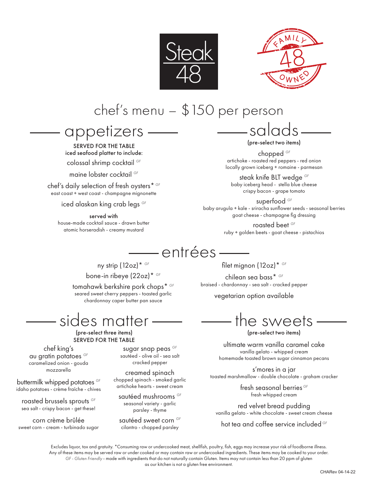



# chef's menu – \$150 per person

### appetizers

SERVED FOR THE TABLE iced seafood platter to include: colossal shrimp cocktail *GF*

maine lobster cocktail *GF*

chef's daily selection of fresh oysters\* *GF* east coast + west coast - champagne mignonette

iced alaskan king crab legs *GF*

served with house-made cocktail sauce - drawn butter atomic horseradish - creamy mustard

salads (pre-select two items)

chopped *GF* artichoke - roasted red peppers - red onion locally grown iceberg + romaine - parmesan

steak knife BLT wedge *GF* baby iceberg head - stella blue cheese crispy bacon - grape tomato

superfood *GF* baby arugula + kale - sriracha sunflower seeds - seasonal berries goat cheese - champagne fig dressing

> roasted beet *GF* ruby + golden beets - goat cheese - pistachios

## – entrées -

ny strip (12oz)\* *GF*

bone-in ribeye (22oz)\* *GF*

tomahawk berkshire pork chops\* *GF* seared sweet cherry peppers - toasted garlic chardonnay caper butter pan sauce

# sides matter.

(pre-select three items) SERVED FOR THE TABLE

chef king's au gratin potatoes *GF* caramelized onion - gouda mozzarella

buttermilk whipped potatoes *GF* idaho potatoes - crème fraîche - chives roasted brussels sprouts *GF* sea salt - crispy bacon - get these! corn crème brûlée sweet corn - cream - turbinado sugar

sugar snap peas *GF* sautéed - olive oil - sea salt cracked pepper

creamed spinach chopped spinach - smoked garlic artichoke hearts - sweet cream

sautéed mushrooms *GF* seasonal variety - garlic parsley - thyme

sautéed sweet corn *GF* cilantro - chopped parsley

filet mignon (12oz)\* *GF*

chilean sea bass\* *GF* braised - chardonnay - sea salt - cracked pepper

vegetarian option available

the sweets

(pre-select two items)

ultimate warm vanilla caramel cake vanilla gelato - whipped cream homemade toasted brown sugar cinnamon pecans

s'mores in a jar toasted marshmallow - double chocolate - graham cracker

> fresh seasonal berries *GF* fresh whipped cream

red velvet bread pudding vanilla gelato - white chocolate - sweet cream cheese

hot tea and coffee service included *GF*